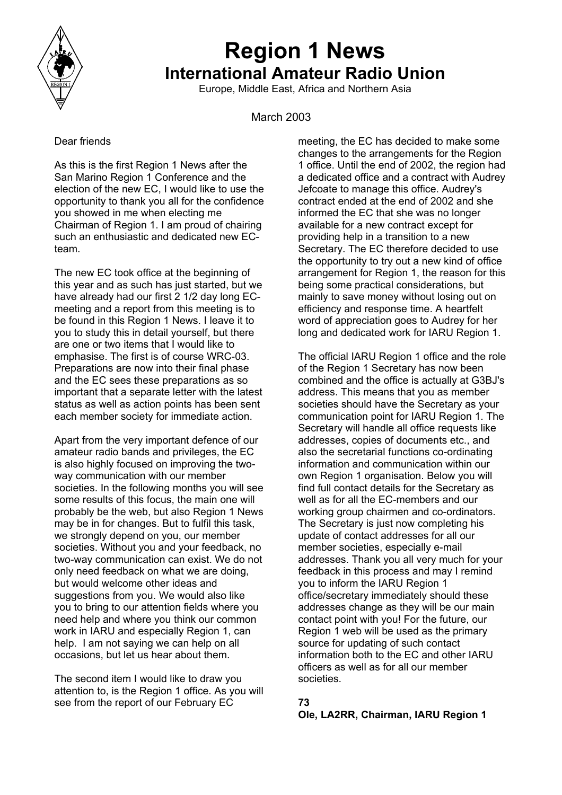

# **Region 1 News International Amateur Radio Union**

Europe, Middle East, Africa and Northern Asia

March 2003

# Dear friends

As this is the first Region 1 News after the San Marino Region 1 Conference and the election of the new EC, I would like to use the opportunity to thank you all for the confidence you showed in me when electing me Chairman of Region 1. I am proud of chairing such an enthusiastic and dedicated new ECteam.

The new EC took office at the beginning of this year and as such has just started, but we have already had our first 2 1/2 day long ECmeeting and a report from this meeting is to be found in this Region 1 News. I leave it to you to study this in detail yourself, but there are one or two items that I would like to emphasise. The first is of course WRC-03. Preparations are now into their final phase and the EC sees these preparations as so important that a separate letter with the latest status as well as action points has been sent each member society for immediate action.

Apart from the very important defence of our amateur radio bands and privileges, the EC is also highly focused on improving the twoway communication with our member societies. In the following months you will see some results of this focus, the main one will probably be the web, but also Region 1 News may be in for changes. But to fulfil this task, we strongly depend on you, our member societies. Without you and your feedback, no two-way communication can exist. We do not only need feedback on what we are doing, but would welcome other ideas and suggestions from you. We would also like you to bring to our attention fields where you need help and where you think our common work in IARU and especially Region 1, can help. I am not saying we can help on all occasions, but let us hear about them.

The second item I would like to draw you attention to, is the Region 1 office. As you will see from the report of our February EC **73** 

meeting, the EC has decided to make some changes to the arrangements for the Region 1 office. Until the end of 2002, the region had a dedicated office and a contract with Audrey Jefcoate to manage this office. Audrey's contract ended at the end of 2002 and she informed the EC that she was no longer available for a new contract except for providing help in a transition to a new Secretary. The EC therefore decided to use the opportunity to try out a new kind of office arrangement for Region 1, the reason for this being some practical considerations, but mainly to save money without losing out on efficiency and response time. A heartfelt word of appreciation goes to Audrey for her long and dedicated work for IARU Region 1.

The official IARU Region 1 office and the role of the Region 1 Secretary has now been combined and the office is actually at G3BJ's address. This means that you as member societies should have the Secretary as your communication point for IARU Region 1. The Secretary will handle all office requests like addresses, copies of documents etc., and also the secretarial functions co-ordinating information and communication within our own Region 1 organisation. Below you will find full contact details for the Secretary as well as for all the EC-members and our working group chairmen and co-ordinators. The Secretary is just now completing his update of contact addresses for all our member societies, especially e-mail addresses. Thank you all very much for your feedback in this process and may I remind you to inform the IARU Region 1 office/secretary immediately should these addresses change as they will be our main contact point with you! For the future, our Region 1 web will be used as the primary source for updating of such contact information both to the EC and other IARU officers as well as for all our member societies.

**Ole, LA2RR, Chairman, IARU Region 1**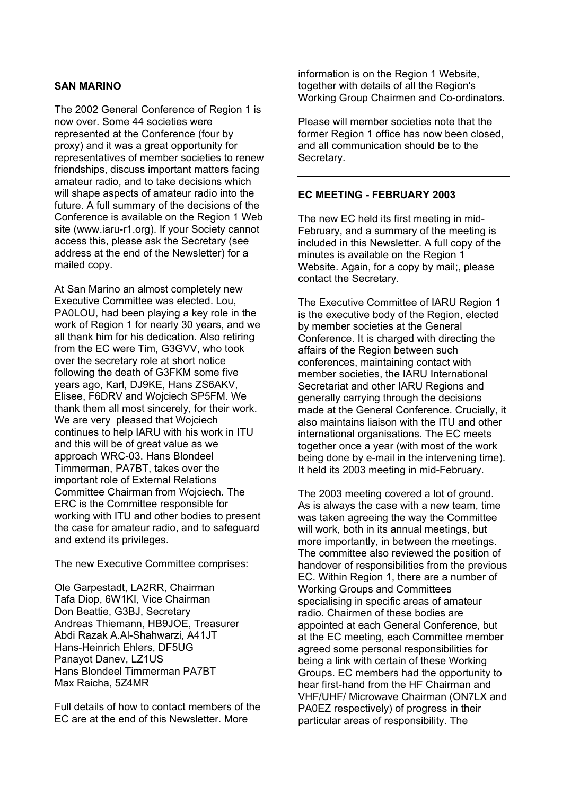# **SAN MARINO**

The 2002 General Conference of Region 1 is now over. Some 44 societies were represented at the Conference (four by proxy) and it was a great opportunity for representatives of member societies to renew friendships, discuss important matters facing amateur radio, and to take decisions which will shape aspects of amateur radio into the future. A full summary of the decisions of the Conference is available on the Region 1 Web site (www.iaru-r1.org). If your Society cannot access this, please ask the Secretary (see address at the end of the Newsletter) for a mailed copy.

At San Marino an almost completely new Executive Committee was elected. Lou, PA0LOU, had been playing a key role in the work of Region 1 for nearly 30 years, and we all thank him for his dedication. Also retiring from the EC were Tim, G3GVV, who took over the secretary role at short notice following the death of G3FKM some five years ago, Karl, DJ9KE, Hans ZS6AKV, Elisee, F6DRV and Wojciech SP5FM. We thank them all most sincerely, for their work. We are very pleased that Wojciech continues to help IARU with his work in ITU and this will be of great value as we approach WRC-03. Hans Blondeel Timmerman, PA7BT, takes over the important role of External Relations Committee Chairman from Wojciech. The ERC is the Committee responsible for working with ITU and other bodies to present the case for amateur radio, and to safeguard and extend its privileges.

The new Executive Committee comprises:

Ole Garpestadt, LA2RR, Chairman Tafa Diop, 6W1KI, Vice Chairman Don Beattie, G3BJ, Secretary Andreas Thiemann, HB9JOE, Treasurer Abdi Razak A.Al-Shahwarzi, A41JT Hans-Heinrich Ehlers, DF5UG Panayot Danev, LZ1US Hans Blondeel Timmerman PA7BT Max Raicha, 5Z4MR

Full details of how to contact members of the EC are at the end of this Newsletter. More

information is on the Region 1 Website, together with details of all the Region's Working Group Chairmen and Co-ordinators.

Please will member societies note that the former Region 1 office has now been closed, and all communication should be to the Secretary.

#### **EC MEETING - FEBRUARY 2003**

The new EC held its first meeting in mid-February, and a summary of the meeting is included in this Newsletter. A full copy of the minutes is available on the Region 1 Website. Again, for a copy by mail;, please contact the Secretary.

The Executive Committee of IARU Region 1 is the executive body of the Region, elected by member societies at the General Conference. It is charged with directing the affairs of the Region between such conferences, maintaining contact with member societies, the IARU International Secretariat and other IARU Regions and generally carrying through the decisions made at the General Conference. Crucially, it also maintains liaison with the ITU and other international organisations. The EC meets together once a year (with most of the work being done by e-mail in the intervening time). It held its 2003 meeting in mid-February.

The 2003 meeting covered a lot of ground. As is always the case with a new team, time was taken agreeing the way the Committee will work, both in its annual meetings, but more importantly, in between the meetings. The committee also reviewed the position of handover of responsibilities from the previous EC. Within Region 1, there are a number of Working Groups and Committees specialising in specific areas of amateur radio. Chairmen of these bodies are appointed at each General Conference, but at the EC meeting, each Committee member agreed some personal responsibilities for being a link with certain of these Working Groups. EC members had the opportunity to hear first-hand from the HF Chairman and VHF/UHF/ Microwave Chairman (ON7LX and PA0EZ respectively) of progress in their particular areas of responsibility. The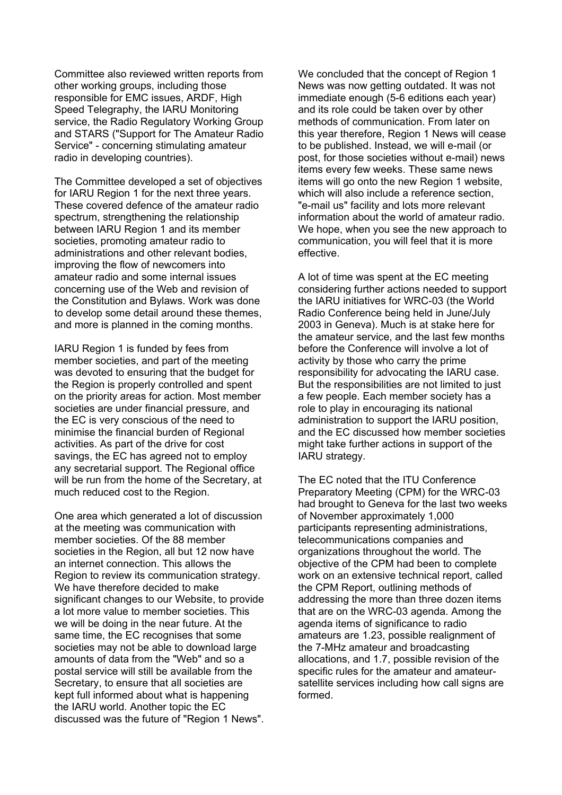Committee also reviewed written reports from other working groups, including those responsible for EMC issues, ARDF, High Speed Telegraphy, the IARU Monitoring service, the Radio Regulatory Working Group and STARS ("Support for The Amateur Radio Service" - concerning stimulating amateur radio in developing countries).

The Committee developed a set of objectives for IARU Region 1 for the next three years. These covered defence of the amateur radio spectrum, strengthening the relationship between IARU Region 1 and its member societies, promoting amateur radio to administrations and other relevant bodies, improving the flow of newcomers into amateur radio and some internal issues concerning use of the Web and revision of the Constitution and Bylaws. Work was done to develop some detail around these themes, and more is planned in the coming months.

IARU Region 1 is funded by fees from member societies, and part of the meeting was devoted to ensuring that the budget for the Region is properly controlled and spent on the priority areas for action. Most member societies are under financial pressure, and the EC is very conscious of the need to minimise the financial burden of Regional activities. As part of the drive for cost savings, the EC has agreed not to employ any secretarial support. The Regional office will be run from the home of the Secretary, at much reduced cost to the Region.

One area which generated a lot of discussion at the meeting was communication with member societies. Of the 88 member societies in the Region, all but 12 now have an internet connection. This allows the Region to review its communication strategy. We have therefore decided to make significant changes to our Website, to provide a lot more value to member societies. This we will be doing in the near future. At the same time, the EC recognises that some societies may not be able to download large amounts of data from the "Web" and so a postal service will still be available from the Secretary, to ensure that all societies are kept full informed about what is happening the IARU world. Another topic the EC discussed was the future of "Region 1 News".

We concluded that the concept of Region 1 News was now getting outdated. It was not immediate enough (5-6 editions each year) and its role could be taken over by other methods of communication. From later on this year therefore, Region 1 News will cease to be published. Instead, we will e-mail (or post, for those societies without e-mail) news items every few weeks. These same news items will go onto the new Region 1 website, which will also include a reference section. "e-mail us" facility and lots more relevant information about the world of amateur radio. We hope, when you see the new approach to communication, you will feel that it is more effective.

A lot of time was spent at the EC meeting considering further actions needed to support the IARU initiatives for WRC-03 (the World Radio Conference being held in June/July 2003 in Geneva). Much is at stake here for the amateur service, and the last few months before the Conference will involve a lot of activity by those who carry the prime responsibility for advocating the IARU case. But the responsibilities are not limited to just a few people. Each member society has a role to play in encouraging its national administration to support the IARU position, and the EC discussed how member societies might take further actions in support of the IARU strategy.

The EC noted that the ITU Conference Preparatory Meeting (CPM) for the WRC-03 had brought to Geneva for the last two weeks of November approximately 1,000 participants representing administrations, telecommunications companies and organizations throughout the world. The objective of the CPM had been to complete work on an extensive technical report, called the CPM Report, outlining methods of addressing the more than three dozen items that are on the WRC-03 agenda. Among the agenda items of significance to radio amateurs are 1.23, possible realignment of the 7-MHz amateur and broadcasting allocations, and 1.7, possible revision of the specific rules for the amateur and amateursatellite services including how call signs are formed.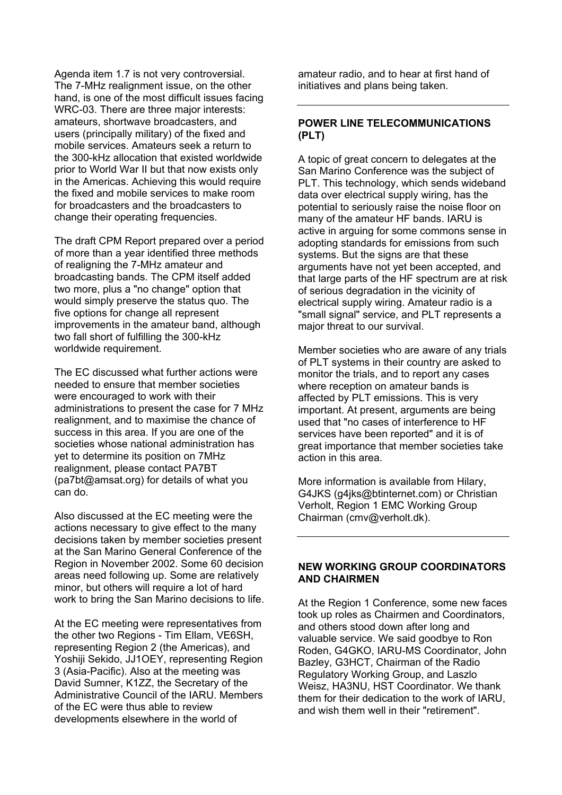Agenda item 1.7 is not very controversial. The 7-MHz realignment issue, on the other hand, is one of the most difficult issues facing WRC-03. There are three major interests: amateurs, shortwave broadcasters, and users (principally military) of the fixed and mobile services. Amateurs seek a return to the 300-kHz allocation that existed worldwide prior to World War II but that now exists only in the Americas. Achieving this would require the fixed and mobile services to make room for broadcasters and the broadcasters to change their operating frequencies.

The draft CPM Report prepared over a period of more than a year identified three methods of realigning the 7-MHz amateur and broadcasting bands. The CPM itself added two more, plus a "no change" option that would simply preserve the status quo. The five options for change all represent improvements in the amateur band, although two fall short of fulfilling the 300-kHz worldwide requirement.

The EC discussed what further actions were needed to ensure that member societies were encouraged to work with their administrations to present the case for 7 MHz realignment, and to maximise the chance of success in this area. If you are one of the societies whose national administration has yet to determine its position on 7MHz realignment, please contact PA7BT (pa7bt@amsat.org) for details of what you can do.

Also discussed at the EC meeting were the actions necessary to give effect to the many decisions taken by member societies present at the San Marino General Conference of the Region in November 2002. Some 60 decision areas need following up. Some are relatively minor, but others will require a lot of hard work to bring the San Marino decisions to life.

At the EC meeting were representatives from the other two Regions - Tim Ellam, VE6SH, representing Region 2 (the Americas), and Yoshiji Sekido, JJ1OEY, representing Region 3 (Asia-Pacific). Also at the meeting was David Sumner, K1ZZ, the Secretary of the Administrative Council of the IARU. Members of the EC were thus able to review developments elsewhere in the world of

amateur radio, and to hear at first hand of initiatives and plans being taken.

# **POWER LINE TELECOMMUNICATIONS (PLT)**

A topic of great concern to delegates at the San Marino Conference was the subject of PLT. This technology, which sends wideband data over electrical supply wiring, has the potential to seriously raise the noise floor on many of the amateur HF bands. IARU is active in arguing for some commons sense in adopting standards for emissions from such systems. But the signs are that these arguments have not yet been accepted, and that large parts of the HF spectrum are at risk of serious degradation in the vicinity of electrical supply wiring. Amateur radio is a "small signal" service, and PLT represents a major threat to our survival.

Member societies who are aware of any trials of PLT systems in their country are asked to monitor the trials, and to report any cases where reception on amateur bands is affected by PLT emissions. This is very important. At present, arguments are being used that "no cases of interference to HF services have been reported" and it is of great importance that member societies take action in this area.

More information is available from Hilary, G4JKS (g4jks@btinternet.com) or Christian Verholt, Region 1 EMC Working Group Chairman (cmv@verholt.dk).

# **NEW WORKING GROUP COORDINATORS AND CHAIRMEN**

At the Region 1 Conference, some new faces took up roles as Chairmen and Coordinators, and others stood down after long and valuable service. We said goodbye to Ron Roden, G4GKO, IARU-MS Coordinator, John Bazley, G3HCT, Chairman of the Radio Regulatory Working Group, and Laszlo Weisz, HA3NU, HST Coordinator. We thank them for their dedication to the work of IARU, and wish them well in their "retirement".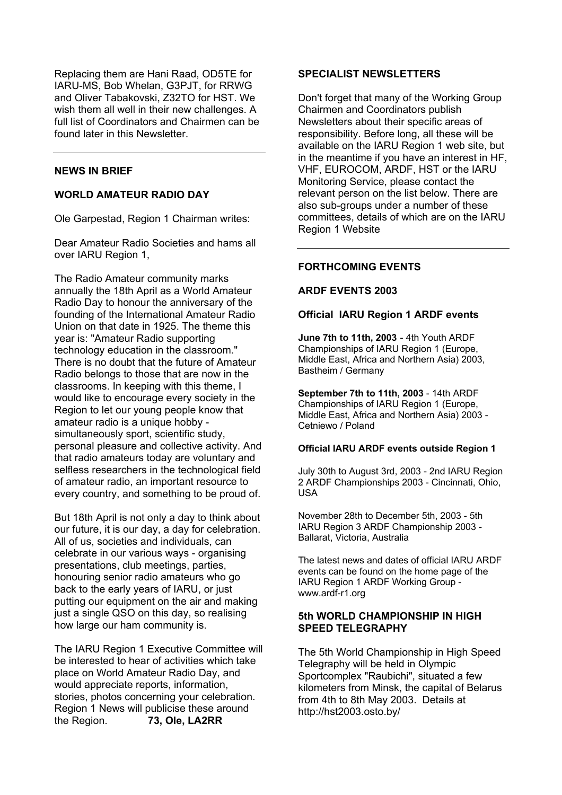Replacing them are Hani Raad, OD5TE for IARU-MS, Bob Whelan, G3PJT, for RRWG and Oliver Tabakovski, Z32TO for HST. We wish them all well in their new challenges. A full list of Coordinators and Chairmen can be found later in this Newsletter.

# **NEWS IN BRIEF**

### **WORLD AMATEUR RADIO DAY**

Ole Garpestad, Region 1 Chairman writes:

Dear Amateur Radio Societies and hams all over IARU Region 1,

The Radio Amateur community marks annually the 18th April as a World Amateur Radio Day to honour the anniversary of the founding of the International Amateur Radio Union on that date in 1925. The theme this year is: "Amateur Radio supporting technology education in the classroom." There is no doubt that the future of Amateur Radio belongs to those that are now in the classrooms. In keeping with this theme, I would like to encourage every society in the Region to let our young people know that amateur radio is a unique hobby simultaneously sport, scientific study, personal pleasure and collective activity. And that radio amateurs today are voluntary and selfless researchers in the technological field of amateur radio, an important resource to every country, and something to be proud of.

But 18th April is not only a day to think about our future, it is our day, a day for celebration. All of us, societies and individuals, can celebrate in our various ways - organising presentations, club meetings, parties, honouring senior radio amateurs who go back to the early years of IARU, or just putting our equipment on the air and making just a single QSO on this day, so realising how large our ham community is.

The IARU Region 1 Executive Committee will be interested to hear of activities which take place on World Amateur Radio Day, and would appreciate reports, information, stories, photos concerning your celebration. Region 1 News will publicise these around the Region. **73, Ole, LA2RR**

#### **SPECIALIST NEWSLETTERS**

Don't forget that many of the Working Group Chairmen and Coordinators publish Newsletters about their specific areas of responsibility. Before long, all these will be available on the IARU Region 1 web site, but in the meantime if you have an interest in HF, VHF, EUROCOM, ARDF, HST or the IARU Monitoring Service, please contact the relevant person on the list below. There are also sub-groups under a number of these committees, details of which are on the IARU Region 1 Website

#### **FORTHCOMING EVENTS**

#### **ARDF EVENTS 2003**

#### **Official IARU Region 1 ARDF events**

**June 7th to 11th, 2003** - 4th Youth ARDF Championships of IARU Region 1 (Europe, Middle East, Africa and Northern Asia) 2003, Bastheim / Germany

**September 7th to 11th, 2003** - 14th ARDF Championships of IARU Region 1 (Europe, Middle East, Africa and Northern Asia) 2003 - Cetniewo / Poland

#### **Official IARU ARDF events outside Region 1**

July 30th to August 3rd, 2003 - 2nd IARU Region 2 ARDF Championships 2003 - Cincinnati, Ohio, USA

November 28th to December 5th, 2003 - 5th IARU Region 3 ARDF Championship 2003 - Ballarat, Victoria, Australia

The latest news and dates of official IARU ARDF events can be found on the home page of the IARU Region 1 ARDF Working Group www.ardf-r1.org

# **5th WORLD CHAMPIONSHIP IN HIGH SPEED TELEGRAPHY**

The 5th World Championship in High Speed Telegraphy will be held in Olympic Sportcomplex "Raubichi", situated a few kilometers from Minsk, the capital of Belarus from 4th to 8th May 2003. Details at http://hst2003.osto.by/